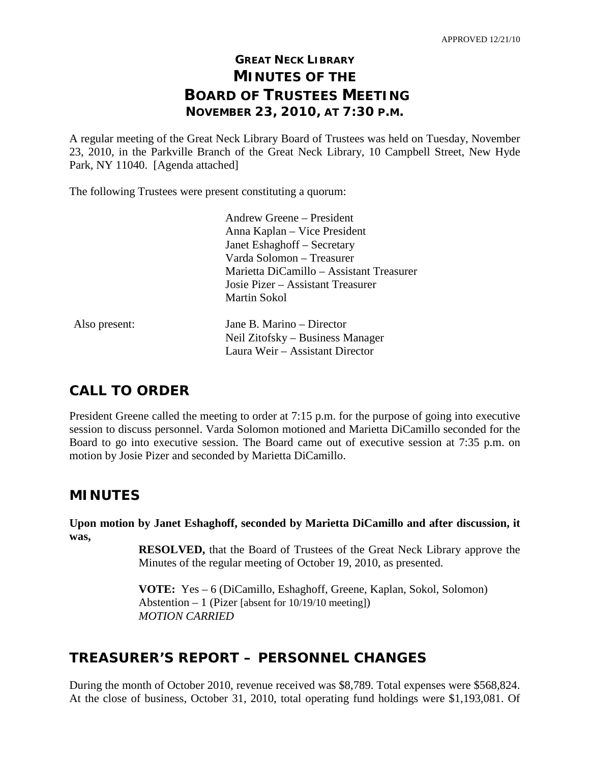# **GREAT NECK LIBRARY MINUTES OF THE BOARD OF TRUSTEES MEETING NOVEMBER 23, 2010, AT 7:30 P.M.**

A regular meeting of the Great Neck Library Board of Trustees was held on Tuesday, November 23, 2010, in the Parkville Branch of the Great Neck Library, 10 Campbell Street, New Hyde Park, NY 11040. [Agenda attached]

The following Trustees were present constituting a quorum:

|               | Andrew Greene – President                |  |
|---------------|------------------------------------------|--|
|               | Anna Kaplan – Vice President             |  |
|               | Janet Eshaghoff - Secretary              |  |
|               | Varda Solomon – Treasurer                |  |
|               | Marietta DiCamillo - Assistant Treasurer |  |
|               | Josie Pizer – Assistant Treasurer        |  |
|               | <b>Martin Sokol</b>                      |  |
| Also present: | Jane B. Marino – Director                |  |
|               | Neil Zitofsky – Business Manager         |  |
|               | Laura Weir – Assistant Director          |  |
|               |                                          |  |

# **CALL TO ORDER**

President Greene called the meeting to order at 7:15 p.m. for the purpose of going into executive session to discuss personnel. Varda Solomon motioned and Marietta DiCamillo seconded for the Board to go into executive session. The Board came out of executive session at 7:35 p.m. on motion by Josie Pizer and seconded by Marietta DiCamillo.

# **MINUTES**

**Upon motion by Janet Eshaghoff, seconded by Marietta DiCamillo and after discussion, it was,**

> **RESOLVED,** that the Board of Trustees of the Great Neck Library approve the Minutes of the regular meeting of October 19, 2010, as presented.

**VOTE:** Yes – 6 (DiCamillo, Eshaghoff, Greene, Kaplan, Sokol, Solomon) Abstention – 1 (Pizer [absent for 10/19/10 meeting]) *MOTION CARRIED*

# **TREASURER'S REPORT – PERSONNEL CHANGES**

During the month of October 2010, revenue received was \$8,789. Total expenses were \$568,824. At the close of business, October 31, 2010, total operating fund holdings were \$1,193,081. Of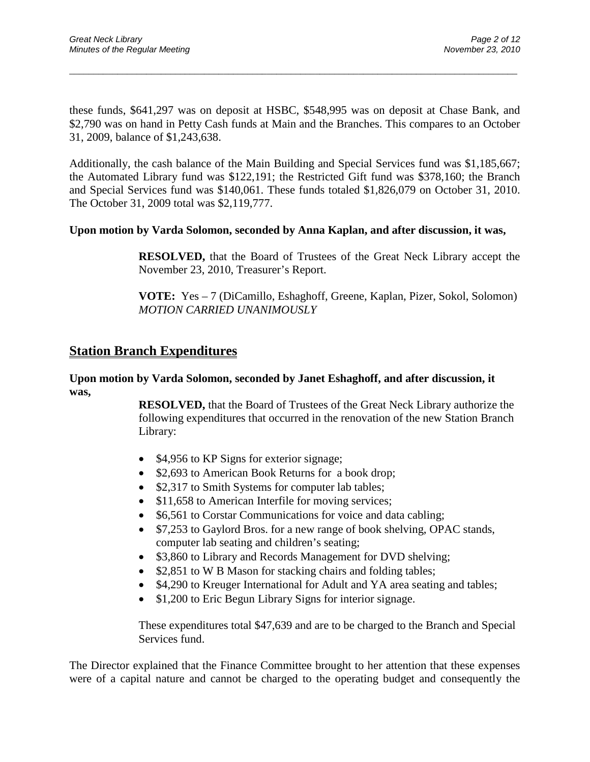these funds, \$641,297 was on deposit at HSBC, \$548,995 was on deposit at Chase Bank, and \$2,790 was on hand in Petty Cash funds at Main and the Branches. This compares to an October 31, 2009, balance of \$1,243,638.

\_\_\_\_\_\_\_\_\_\_\_\_\_\_\_\_\_\_\_\_\_\_\_\_\_\_\_\_\_\_\_\_\_\_\_\_\_\_\_\_\_\_\_\_\_\_\_\_\_\_\_\_\_\_\_\_\_\_\_\_\_\_\_\_\_\_\_\_\_\_\_\_\_\_\_\_\_\_\_\_\_\_\_\_\_\_\_\_\_\_\_\_\_

Additionally, the cash balance of the Main Building and Special Services fund was \$1,185,667; the Automated Library fund was \$122,191; the Restricted Gift fund was \$378,160; the Branch and Special Services fund was \$140,061. These funds totaled \$1,826,079 on October 31, 2010. The October 31, 2009 total was \$2,119,777.

#### **Upon motion by Varda Solomon, seconded by Anna Kaplan, and after discussion, it was,**

**RESOLVED,** that the Board of Trustees of the Great Neck Library accept the November 23, 2010, Treasurer's Report.

**VOTE:** Yes – 7 (DiCamillo, Eshaghoff, Greene, Kaplan, Pizer, Sokol, Solomon) *MOTION CARRIED UNANIMOUSLY*

### **Station Branch Expenditures**

#### **Upon motion by Varda Solomon, seconded by Janet Eshaghoff, and after discussion, it was,**

**RESOLVED,** that the Board of Trustees of the Great Neck Library authorize the following expenditures that occurred in the renovation of the new Station Branch Library:

- \$4,956 to KP Signs for exterior signage;
- \$2,693 to American Book Returns for a book drop;
- \$2,317 to Smith Systems for computer lab tables;
- \$11,658 to American Interfile for moving services;
- \$6,561 to Corstar Communications for voice and data cabling;
- \$7,253 to Gaylord Bros. for a new range of book shelving, OPAC stands, computer lab seating and children's seating;
- \$3,860 to Library and Records Management for DVD shelving;
- \$2,851 to W B Mason for stacking chairs and folding tables;
- \$4,290 to Kreuger International for Adult and YA area seating and tables;
- \$1,200 to Eric Begun Library Signs for interior signage.

These expenditures total \$47,639 and are to be charged to the Branch and Special Services fund.

The Director explained that the Finance Committee brought to her attention that these expenses were of a capital nature and cannot be charged to the operating budget and consequently the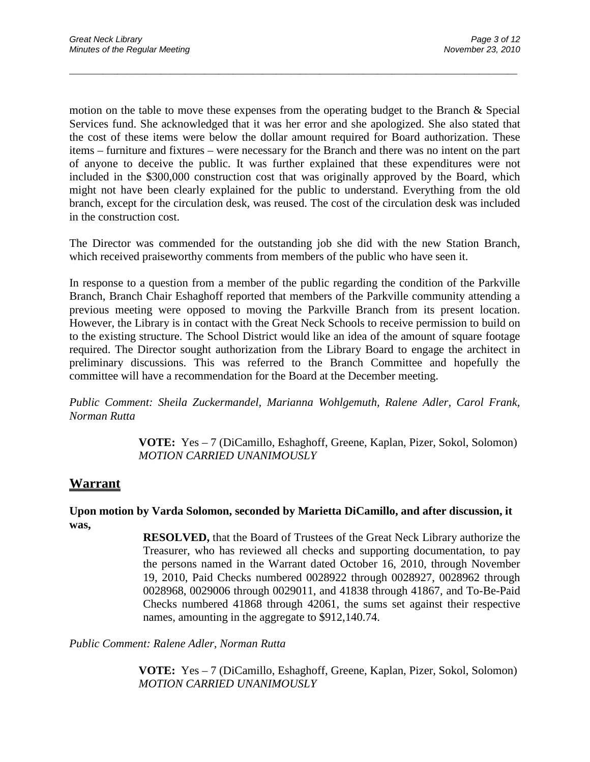motion on the table to move these expenses from the operating budget to the Branch & Special Services fund. She acknowledged that it was her error and she apologized. She also stated that the cost of these items were below the dollar amount required for Board authorization. These items – furniture and fixtures – were necessary for the Branch and there was no intent on the part of anyone to deceive the public. It was further explained that these expenditures were not included in the \$300,000 construction cost that was originally approved by the Board, which might not have been clearly explained for the public to understand. Everything from the old branch, except for the circulation desk, was reused. The cost of the circulation desk was included in the construction cost.

\_\_\_\_\_\_\_\_\_\_\_\_\_\_\_\_\_\_\_\_\_\_\_\_\_\_\_\_\_\_\_\_\_\_\_\_\_\_\_\_\_\_\_\_\_\_\_\_\_\_\_\_\_\_\_\_\_\_\_\_\_\_\_\_\_\_\_\_\_\_\_\_\_\_\_\_\_\_\_\_\_\_\_\_\_\_\_\_\_\_\_\_\_

The Director was commended for the outstanding job she did with the new Station Branch, which received praiseworthy comments from members of the public who have seen it.

In response to a question from a member of the public regarding the condition of the Parkville Branch, Branch Chair Eshaghoff reported that members of the Parkville community attending a previous meeting were opposed to moving the Parkville Branch from its present location. However, the Library is in contact with the Great Neck Schools to receive permission to build on to the existing structure. The School District would like an idea of the amount of square footage required. The Director sought authorization from the Library Board to engage the architect in preliminary discussions. This was referred to the Branch Committee and hopefully the committee will have a recommendation for the Board at the December meeting.

*Public Comment: Sheila Zuckermandel, Marianna Wohlgemuth, Ralene Adler, Carol Frank, Norman Rutta*

> **VOTE:** Yes – 7 (DiCamillo, Eshaghoff, Greene, Kaplan, Pizer, Sokol, Solomon) *MOTION CARRIED UNANIMOUSLY*

## **Warrant**

**Upon motion by Varda Solomon, seconded by Marietta DiCamillo, and after discussion, it was,**

> **RESOLVED,** that the Board of Trustees of the Great Neck Library authorize the Treasurer, who has reviewed all checks and supporting documentation, to pay the persons named in the Warrant dated October 16, 2010, through November 19, 2010, Paid Checks numbered 0028922 through 0028927, 0028962 through 0028968, 0029006 through 0029011, and 41838 through 41867, and To-Be-Paid Checks numbered 41868 through 42061, the sums set against their respective names, amounting in the aggregate to \$912,140.74.

*Public Comment: Ralene Adler, Norman Rutta*

**VOTE:** Yes – 7 (DiCamillo, Eshaghoff, Greene, Kaplan, Pizer, Sokol, Solomon) *MOTION CARRIED UNANIMOUSLY*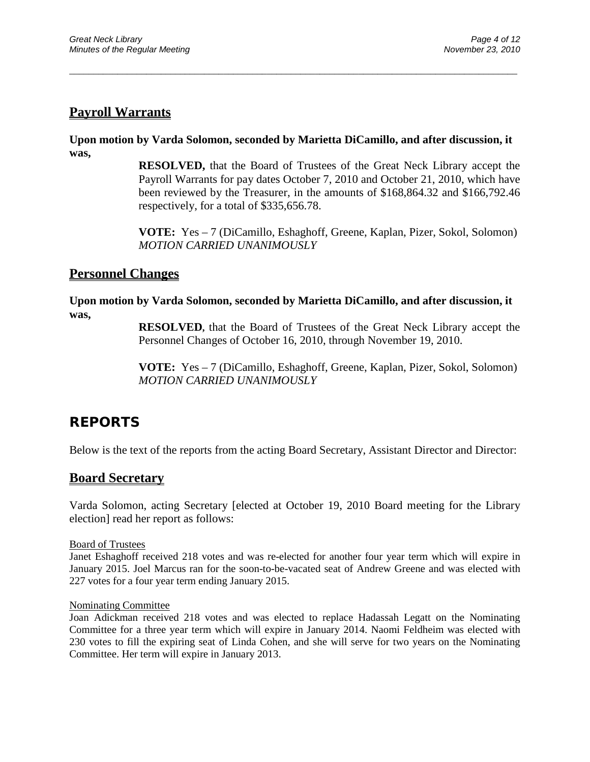## **Payroll Warrants**

**Upon motion by Varda Solomon, seconded by Marietta DiCamillo, and after discussion, it was,**

\_\_\_\_\_\_\_\_\_\_\_\_\_\_\_\_\_\_\_\_\_\_\_\_\_\_\_\_\_\_\_\_\_\_\_\_\_\_\_\_\_\_\_\_\_\_\_\_\_\_\_\_\_\_\_\_\_\_\_\_\_\_\_\_\_\_\_\_\_\_\_\_\_\_\_\_\_\_\_\_\_\_\_\_\_\_\_\_\_\_\_\_\_

**RESOLVED,** that the Board of Trustees of the Great Neck Library accept the Payroll Warrants for pay dates October 7, 2010 and October 21, 2010, which have been reviewed by the Treasurer, in the amounts of \$168,864.32 and \$166,792.46 respectively, for a total of \$335,656.78.

**VOTE:** Yes – 7 (DiCamillo, Eshaghoff, Greene, Kaplan, Pizer, Sokol, Solomon) *MOTION CARRIED UNANIMOUSLY*

### **Personnel Changes**

#### **Upon motion by Varda Solomon, seconded by Marietta DiCamillo, and after discussion, it was,**

**RESOLVED,** that the Board of Trustees of the Great Neck Library accept the Personnel Changes of October 16, 2010, through November 19, 2010.

**VOTE:** Yes – 7 (DiCamillo, Eshaghoff, Greene, Kaplan, Pizer, Sokol, Solomon) *MOTION CARRIED UNANIMOUSLY*

## **REPORTS**

Below is the text of the reports from the acting Board Secretary, Assistant Director and Director:

### **Board Secretary**

Varda Solomon, acting Secretary [elected at October 19, 2010 Board meeting for the Library election] read her report as follows:

Board of Trustees

Janet Eshaghoff received 218 votes and was re-elected for another four year term which will expire in January 2015. Joel Marcus ran for the soon-to-be-vacated seat of Andrew Greene and was elected with 227 votes for a four year term ending January 2015.

#### Nominating Committee

Joan Adickman received 218 votes and was elected to replace Hadassah Legatt on the Nominating Committee for a three year term which will expire in January 2014. Naomi Feldheim was elected with 230 votes to fill the expiring seat of Linda Cohen, and she will serve for two years on the Nominating Committee. Her term will expire in January 2013.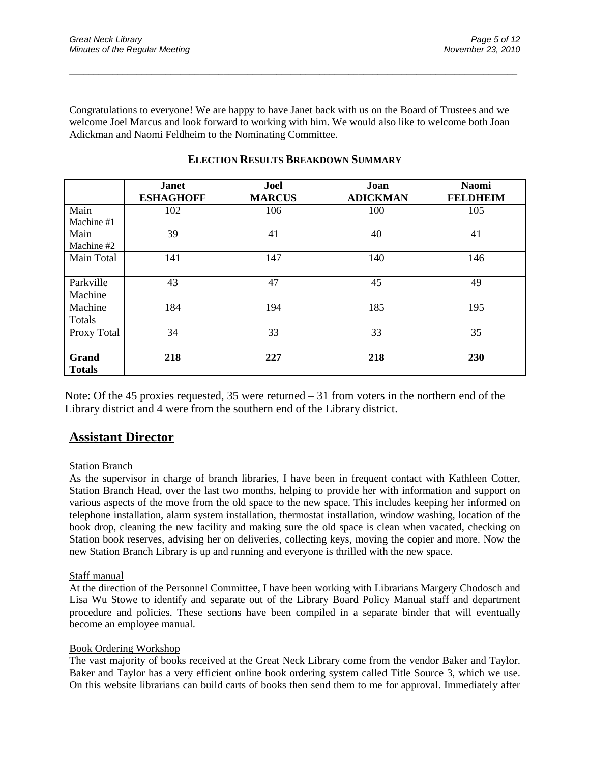Congratulations to everyone! We are happy to have Janet back with us on the Board of Trustees and we welcome Joel Marcus and look forward to working with him. We would also like to welcome both Joan Adickman and Naomi Feldheim to the Nominating Committee.

\_\_\_\_\_\_\_\_\_\_\_\_\_\_\_\_\_\_\_\_\_\_\_\_\_\_\_\_\_\_\_\_\_\_\_\_\_\_\_\_\_\_\_\_\_\_\_\_\_\_\_\_\_\_\_\_\_\_\_\_\_\_\_\_\_\_\_\_\_\_\_\_\_\_\_\_\_\_\_\_\_\_\_\_\_\_\_\_\_\_\_\_\_

|                        | <b>Janet</b><br><b>ESHAGHOFF</b> | Joel<br><b>MARCUS</b> | Joan<br><b>ADICKMAN</b> | <b>Naomi</b><br><b>FELDHEIM</b> |
|------------------------|----------------------------------|-----------------------|-------------------------|---------------------------------|
| Main                   | 102                              | 106                   | 100                     | 105                             |
| Machine #1             |                                  |                       |                         |                                 |
| Main                   | 39                               | 41                    | 40                      | 41                              |
| Machine #2             |                                  |                       |                         |                                 |
| Main Total             | 141                              | 147                   | 140                     | 146                             |
| Parkville<br>Machine   | 43                               | 47                    | 45                      | 49                              |
| Machine<br>Totals      | 184                              | 194                   | 185                     | 195                             |
| Proxy Total            | 34                               | 33                    | 33                      | 35                              |
| Grand<br><b>Totals</b> | 218                              | 227                   | 218                     | 230                             |

### **ELECTION RESULTS BREAKDOWN SUMMARY**

Note: Of the 45 proxies requested, 35 were returned – 31 from voters in the northern end of the Library district and 4 were from the southern end of the Library district.

## **Assistant Director**

#### Station Branch

As the supervisor in charge of branch libraries, I have been in frequent contact with Kathleen Cotter, Station Branch Head, over the last two months, helping to provide her with information and support on various aspects of the move from the old space to the new space. This includes keeping her informed on telephone installation, alarm system installation, thermostat installation, window washing, location of the book drop, cleaning the new facility and making sure the old space is clean when vacated, checking on Station book reserves, advising her on deliveries, collecting keys, moving the copier and more. Now the new Station Branch Library is up and running and everyone is thrilled with the new space.

#### Staff manual

At the direction of the Personnel Committee, I have been working with Librarians Margery Chodosch and Lisa Wu Stowe to identify and separate out of the Library Board Policy Manual staff and department procedure and policies. These sections have been compiled in a separate binder that will eventually become an employee manual.

#### Book Ordering Workshop

The vast majority of books received at the Great Neck Library come from the vendor Baker and Taylor. Baker and Taylor has a very efficient online book ordering system called Title Source 3, which we use. On this website librarians can build carts of books then send them to me for approval. Immediately after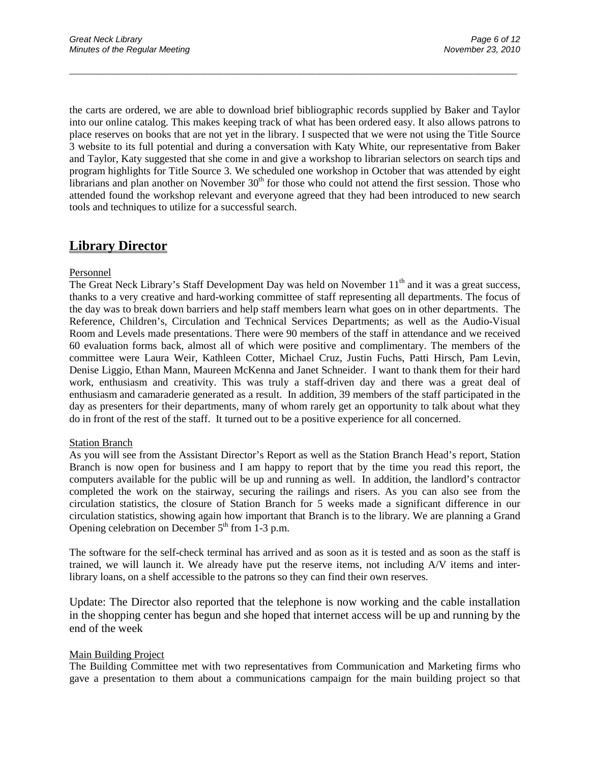the carts are ordered, we are able to download brief bibliographic records supplied by Baker and Taylor into our online catalog. This makes keeping track of what has been ordered easy. It also allows patrons to place reserves on books that are not yet in the library. I suspected that we were not using the Title Source 3 website to its full potential and during a conversation with Katy White, our representative from Baker and Taylor, Katy suggested that she come in and give a workshop to librarian selectors on search tips and program highlights for Title Source 3. We scheduled one workshop in October that was attended by eight librarians and plan another on November  $30<sup>th</sup>$  for those who could not attend the first session. Those who attended found the workshop relevant and everyone agreed that they had been introduced to new search tools and techniques to utilize for a successful search.

\_\_\_\_\_\_\_\_\_\_\_\_\_\_\_\_\_\_\_\_\_\_\_\_\_\_\_\_\_\_\_\_\_\_\_\_\_\_\_\_\_\_\_\_\_\_\_\_\_\_\_\_\_\_\_\_\_\_\_\_\_\_\_\_\_\_\_\_\_\_\_\_\_\_\_\_\_\_\_\_\_\_\_\_\_\_\_\_\_\_\_\_\_

### **Library Director**

#### Personnel

The Great Neck Library's Staff Development Day was held on November 11<sup>th</sup> and it was a great success, thanks to a very creative and hard-working committee of staff representing all departments. The focus of the day was to break down barriers and help staff members learn what goes on in other departments. The Reference, Children's, Circulation and Technical Services Departments; as well as the Audio-Visual Room and Levels made presentations. There were 90 members of the staff in attendance and we received 60 evaluation forms back, almost all of which were positive and complimentary. The members of the committee were Laura Weir, Kathleen Cotter, Michael Cruz, Justin Fuchs, Patti Hirsch, Pam Levin, Denise Liggio, Ethan Mann, Maureen McKenna and Janet Schneider. I want to thank them for their hard work, enthusiasm and creativity. This was truly a staff-driven day and there was a great deal of enthusiasm and camaraderie generated as a result. In addition, 39 members of the staff participated in the day as presenters for their departments, many of whom rarely get an opportunity to talk about what they do in front of the rest of the staff. It turned out to be a positive experience for all concerned.

#### **Station Branch**

As you will see from the Assistant Director's Report as well as the Station Branch Head's report, Station Branch is now open for business and I am happy to report that by the time you read this report, the computers available for the public will be up and running as well. In addition, the landlord's contractor completed the work on the stairway, securing the railings and risers. As you can also see from the circulation statistics, the closure of Station Branch for 5 weeks made a significant difference in our circulation statistics, showing again how important that Branch is to the library. We are planning a Grand Opening celebration on December  $5<sup>th</sup>$  from 1-3 p.m.

The software for the self-check terminal has arrived and as soon as it is tested and as soon as the staff is trained, we will launch it. We already have put the reserve items, not including A/V items and interlibrary loans, on a shelf accessible to the patrons so they can find their own reserves.

Update: The Director also reported that the telephone is now working and the cable installation in the shopping center has begun and she hoped that internet access will be up and running by the end of the week

#### Main Building Project

The Building Committee met with two representatives from Communication and Marketing firms who gave a presentation to them about a communications campaign for the main building project so that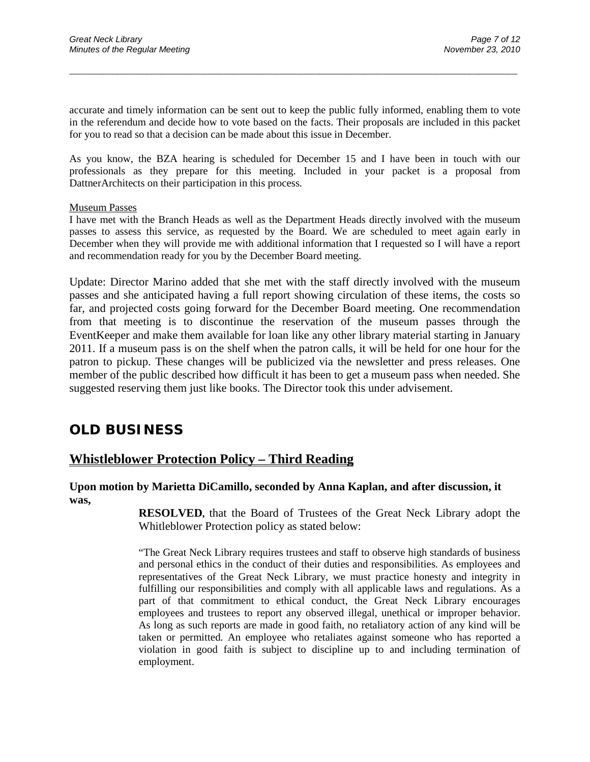accurate and timely information can be sent out to keep the public fully informed, enabling them to vote in the referendum and decide how to vote based on the facts. Their proposals are included in this packet for you to read so that a decision can be made about this issue in December.

\_\_\_\_\_\_\_\_\_\_\_\_\_\_\_\_\_\_\_\_\_\_\_\_\_\_\_\_\_\_\_\_\_\_\_\_\_\_\_\_\_\_\_\_\_\_\_\_\_\_\_\_\_\_\_\_\_\_\_\_\_\_\_\_\_\_\_\_\_\_\_\_\_\_\_\_\_\_\_\_\_\_\_\_\_\_\_\_\_\_\_\_\_

As you know, the BZA hearing is scheduled for December 15 and I have been in touch with our professionals as they prepare for this meeting. Included in your packet is a proposal from DattnerArchitects on their participation in this process.

#### Museum Passes

I have met with the Branch Heads as well as the Department Heads directly involved with the museum passes to assess this service, as requested by the Board. We are scheduled to meet again early in December when they will provide me with additional information that I requested so I will have a report and recommendation ready for you by the December Board meeting.

Update: Director Marino added that she met with the staff directly involved with the museum passes and she anticipated having a full report showing circulation of these items, the costs so far, and projected costs going forward for the December Board meeting. One recommendation from that meeting is to discontinue the reservation of the museum passes through the EventKeeper and make them available for loan like any other library material starting in January 2011. If a museum pass is on the shelf when the patron calls, it will be held for one hour for the patron to pickup. These changes will be publicized via the newsletter and press releases. One member of the public described how difficult it has been to get a museum pass when needed. She suggested reserving them just like books. The Director took this under advisement.

## **OLD BUSINESS**

### **Whistleblower Protection Policy – Third Reading**

#### **Upon motion by Marietta DiCamillo, seconded by Anna Kaplan, and after discussion, it was,**

**RESOLVED,** that the Board of Trustees of the Great Neck Library adopt the Whitleblower Protection policy as stated below:

"The Great Neck Library requires trustees and staff to observe high standards of business and personal ethics in the conduct of their duties and responsibilities. As employees and representatives of the Great Neck Library, we must practice honesty and integrity in fulfilling our responsibilities and comply with all applicable laws and regulations. As a part of that commitment to ethical conduct, the Great Neck Library encourages employees and trustees to report any observed illegal, unethical or improper behavior. As long as such reports are made in good faith, no retaliatory action of any kind will be taken or permitted. An employee who retaliates against someone who has reported a violation in good faith is subject to discipline up to and including termination of employment.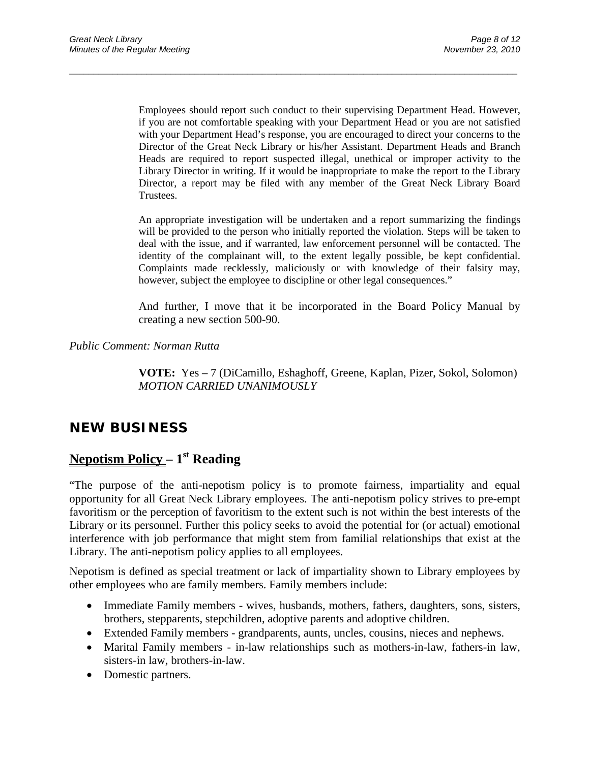Employees should report such conduct to their supervising Department Head. However, if you are not comfortable speaking with your Department Head or you are not satisfied with your Department Head's response, you are encouraged to direct your concerns to the Director of the Great Neck Library or his/her Assistant. Department Heads and Branch Heads are required to report suspected illegal, unethical or improper activity to the Library Director in writing. If it would be inappropriate to make the report to the Library Director, a report may be filed with any member of the Great Neck Library Board Trustees.

\_\_\_\_\_\_\_\_\_\_\_\_\_\_\_\_\_\_\_\_\_\_\_\_\_\_\_\_\_\_\_\_\_\_\_\_\_\_\_\_\_\_\_\_\_\_\_\_\_\_\_\_\_\_\_\_\_\_\_\_\_\_\_\_\_\_\_\_\_\_\_\_\_\_\_\_\_\_\_\_\_\_\_\_\_\_\_\_\_\_\_\_\_

An appropriate investigation will be undertaken and a report summarizing the findings will be provided to the person who initially reported the violation. Steps will be taken to deal with the issue, and if warranted, law enforcement personnel will be contacted. The identity of the complainant will, to the extent legally possible, be kept confidential. Complaints made recklessly, maliciously or with knowledge of their falsity may, however, subject the employee to discipline or other legal consequences."

And further, I move that it be incorporated in the Board Policy Manual by creating a new section 500-90.

*Public Comment: Norman Rutta*

**VOTE:** Yes – 7 (DiCamillo, Eshaghoff, Greene, Kaplan, Pizer, Sokol, Solomon) *MOTION CARRIED UNANIMOUSLY*

## **NEW BUSINESS**

## **Nepotism Policy – 1st Reading**

"The purpose of the anti-nepotism policy is to promote fairness, impartiality and equal opportunity for all Great Neck Library employees. The anti-nepotism policy strives to pre-empt favoritism or the perception of favoritism to the extent such is not within the best interests of the Library or its personnel. Further this policy seeks to avoid the potential for (or actual) emotional interference with job performance that might stem from familial relationships that exist at the Library. The anti-nepotism policy applies to all employees.

Nepotism is defined as special treatment or lack of impartiality shown to Library employees by other employees who are family members. Family members include:

- Immediate Family members wives, husbands, mothers, fathers, daughters, sons, sisters, brothers, stepparents, stepchildren, adoptive parents and adoptive children.
- Extended Family members grandparents, aunts, uncles, cousins, nieces and nephews.
- Marital Family members in-law relationships such as mothers-in-law, fathers-in law, sisters-in law, brothers-in-law.
- Domestic partners.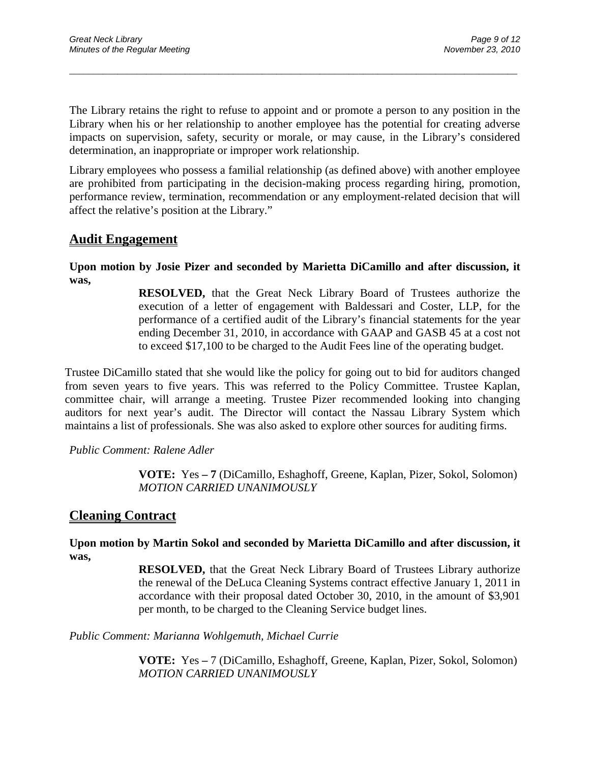The Library retains the right to refuse to appoint and or promote a person to any position in the Library when his or her relationship to another employee has the potential for creating adverse impacts on supervision, safety, security or morale, or may cause, in the Library's considered determination, an inappropriate or improper work relationship.

\_\_\_\_\_\_\_\_\_\_\_\_\_\_\_\_\_\_\_\_\_\_\_\_\_\_\_\_\_\_\_\_\_\_\_\_\_\_\_\_\_\_\_\_\_\_\_\_\_\_\_\_\_\_\_\_\_\_\_\_\_\_\_\_\_\_\_\_\_\_\_\_\_\_\_\_\_\_\_\_\_\_\_\_\_\_\_\_\_\_\_\_\_

Library employees who possess a familial relationship (as defined above) with another employee are prohibited from participating in the decision-making process regarding hiring, promotion, performance review, termination, recommendation or any employment-related decision that will affect the relative's position at the Library."

### **Audit Engagement**

#### **Upon motion by Josie Pizer and seconded by Marietta DiCamillo and after discussion, it was,**

**RESOLVED,** that the Great Neck Library Board of Trustees authorize the execution of a letter of engagement with Baldessari and Coster, LLP, for the performance of a certified audit of the Library's financial statements for the year ending December 31, 2010, in accordance with GAAP and GASB 45 at a cost not to exceed \$17,100 to be charged to the Audit Fees line of the operating budget.

Trustee DiCamillo stated that she would like the policy for going out to bid for auditors changed from seven years to five years. This was referred to the Policy Committee. Trustee Kaplan, committee chair, will arrange a meeting. Trustee Pizer recommended looking into changing auditors for next year's audit. The Director will contact the Nassau Library System which maintains a list of professionals. She was also asked to explore other sources for auditing firms.

*Public Comment: Ralene Adler*

**VOTE:** Yes **– 7** (DiCamillo, Eshaghoff, Greene, Kaplan, Pizer, Sokol, Solomon) *MOTION CARRIED UNANIMOUSLY*

### **Cleaning Contract**

**Upon motion by Martin Sokol and seconded by Marietta DiCamillo and after discussion, it was,**

> **RESOLVED,** that the Great Neck Library Board of Trustees Library authorize the renewal of the DeLuca Cleaning Systems contract effective January 1, 2011 in accordance with their proposal dated October 30, 2010, in the amount of \$3,901 per month, to be charged to the Cleaning Service budget lines.

#### *Public Comment: Marianna Wohlgemuth, Michael Currie*

**VOTE:** Yes **–** 7 (DiCamillo, Eshaghoff, Greene, Kaplan, Pizer, Sokol, Solomon) *MOTION CARRIED UNANIMOUSLY*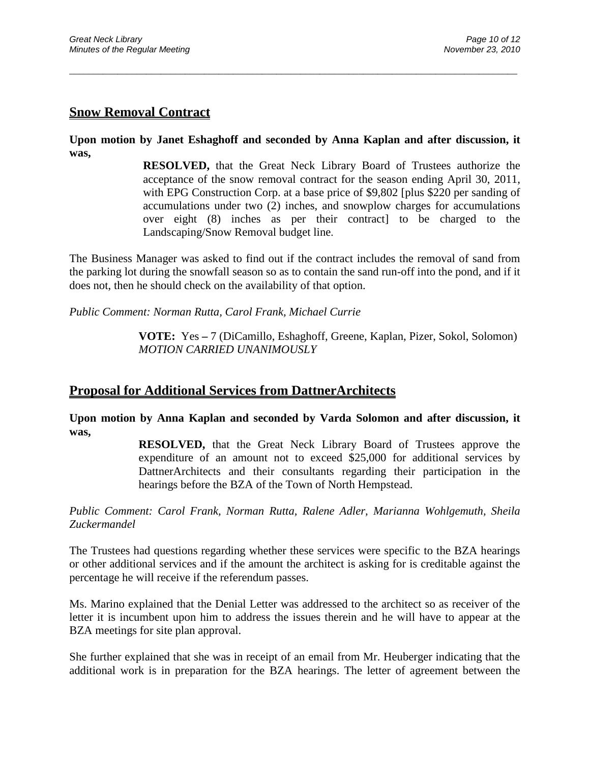## **Snow Removal Contract**

**Upon motion by Janet Eshaghoff and seconded by Anna Kaplan and after discussion, it was,**

\_\_\_\_\_\_\_\_\_\_\_\_\_\_\_\_\_\_\_\_\_\_\_\_\_\_\_\_\_\_\_\_\_\_\_\_\_\_\_\_\_\_\_\_\_\_\_\_\_\_\_\_\_\_\_\_\_\_\_\_\_\_\_\_\_\_\_\_\_\_\_\_\_\_\_\_\_\_\_\_\_\_\_\_\_\_\_\_\_\_\_\_\_

**RESOLVED,** that the Great Neck Library Board of Trustees authorize the acceptance of the snow removal contract for the season ending April 30, 2011, with EPG Construction Corp. at a base price of \$9,802 [plus \$220 per sanding of accumulations under two (2) inches, and snowplow charges for accumulations over eight (8) inches as per their contract] to be charged to the Landscaping/Snow Removal budget line.

The Business Manager was asked to find out if the contract includes the removal of sand from the parking lot during the snowfall season so as to contain the sand run-off into the pond, and if it does not, then he should check on the availability of that option.

*Public Comment: Norman Rutta, Carol Frank, Michael Currie*

**VOTE:** Yes **–** 7 (DiCamillo, Eshaghoff, Greene, Kaplan, Pizer, Sokol, Solomon) *MOTION CARRIED UNANIMOUSLY*

### **Proposal for Additional Services from DattnerArchitects**

**Upon motion by Anna Kaplan and seconded by Varda Solomon and after discussion, it was,**

> **RESOLVED,** that the Great Neck Library Board of Trustees approve the expenditure of an amount not to exceed \$25,000 for additional services by DattnerArchitects and their consultants regarding their participation in the hearings before the BZA of the Town of North Hempstead.

*Public Comment: Carol Frank, Norman Rutta, Ralene Adler, Marianna Wohlgemuth, Sheila Zuckermandel*

The Trustees had questions regarding whether these services were specific to the BZA hearings or other additional services and if the amount the architect is asking for is creditable against the percentage he will receive if the referendum passes.

Ms. Marino explained that the Denial Letter was addressed to the architect so as receiver of the letter it is incumbent upon him to address the issues therein and he will have to appear at the BZA meetings for site plan approval.

She further explained that she was in receipt of an email from Mr. Heuberger indicating that the additional work is in preparation for the BZA hearings. The letter of agreement between the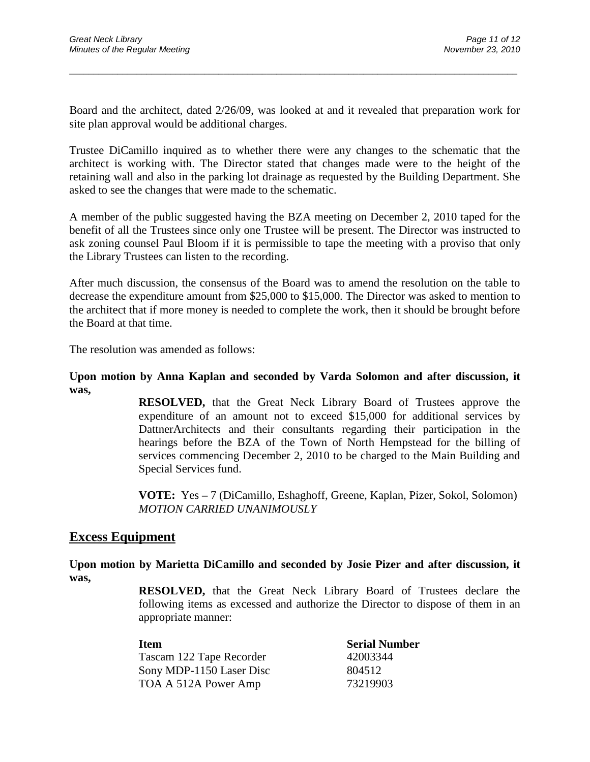Board and the architect, dated 2/26/09, was looked at and it revealed that preparation work for site plan approval would be additional charges.

\_\_\_\_\_\_\_\_\_\_\_\_\_\_\_\_\_\_\_\_\_\_\_\_\_\_\_\_\_\_\_\_\_\_\_\_\_\_\_\_\_\_\_\_\_\_\_\_\_\_\_\_\_\_\_\_\_\_\_\_\_\_\_\_\_\_\_\_\_\_\_\_\_\_\_\_\_\_\_\_\_\_\_\_\_\_\_\_\_\_\_\_\_

Trustee DiCamillo inquired as to whether there were any changes to the schematic that the architect is working with. The Director stated that changes made were to the height of the retaining wall and also in the parking lot drainage as requested by the Building Department. She asked to see the changes that were made to the schematic.

A member of the public suggested having the BZA meeting on December 2, 2010 taped for the benefit of all the Trustees since only one Trustee will be present. The Director was instructed to ask zoning counsel Paul Bloom if it is permissible to tape the meeting with a proviso that only the Library Trustees can listen to the recording.

After much discussion, the consensus of the Board was to amend the resolution on the table to decrease the expenditure amount from \$25,000 to \$15,000. The Director was asked to mention to the architect that if more money is needed to complete the work, then it should be brought before the Board at that time.

The resolution was amended as follows:

#### **Upon motion by Anna Kaplan and seconded by Varda Solomon and after discussion, it was,**

**RESOLVED,** that the Great Neck Library Board of Trustees approve the expenditure of an amount not to exceed \$15,000 for additional services by DattnerArchitects and their consultants regarding their participation in the hearings before the BZA of the Town of North Hempstead for the billing of services commencing December 2, 2010 to be charged to the Main Building and Special Services fund.

**VOTE:** Yes **–** 7 (DiCamillo, Eshaghoff, Greene, Kaplan, Pizer, Sokol, Solomon) *MOTION CARRIED UNANIMOUSLY*

### **Excess Equipment**

**Upon motion by Marietta DiCamillo and seconded by Josie Pizer and after discussion, it was,**

> **RESOLVED,** that the Great Neck Library Board of Trustees declare the following items as excessed and authorize the Director to dispose of them in an appropriate manner:

| Item                     | <b>Serial Number</b> |
|--------------------------|----------------------|
| Tascam 122 Tape Recorder | 42003344             |
| Sony MDP-1150 Laser Disc | 804512               |
| TOA A 512A Power Amp     | 73219903             |